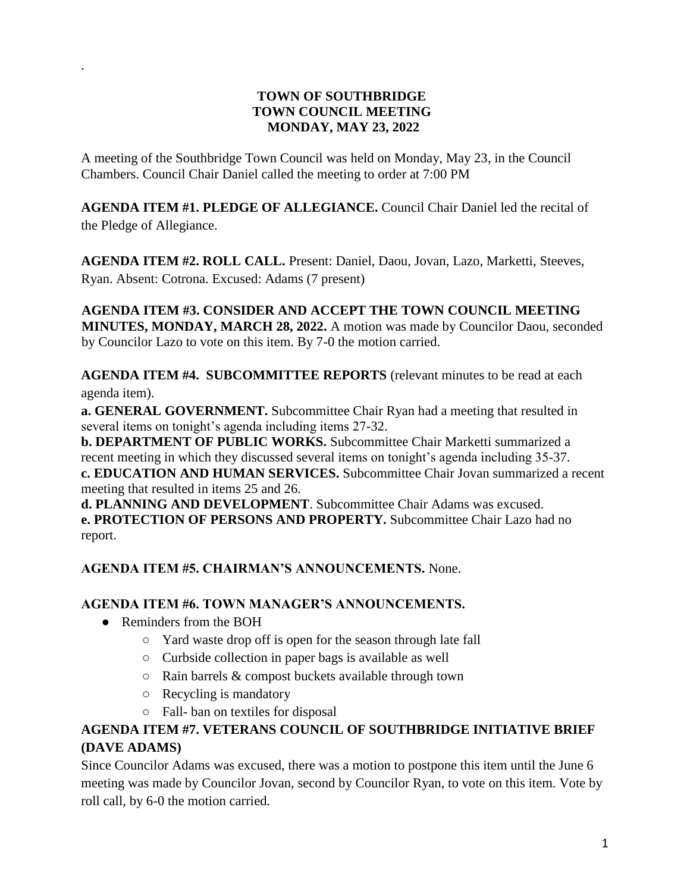#### **TOWN OF SOUTHBRIDGE TOWN COUNCIL MEETING MONDAY, MAY 23, 2022**

A meeting of the Southbridge Town Council was held on Monday, May 23, in the Council Chambers. Council Chair Daniel called the meeting to order at 7:00 PM

**AGENDA ITEM #1. PLEDGE OF ALLEGIANCE.** Council Chair Daniel led the recital of the Pledge of Allegiance.

**AGENDA ITEM #2. ROLL CALL.** Present: Daniel, Daou, Jovan, Lazo, Marketti, Steeves, Ryan. Absent: Cotrona. Excused: Adams (7 present)

**AGENDA ITEM #3. CONSIDER AND ACCEPT THE TOWN COUNCIL MEETING MINUTES, MONDAY, MARCH 28, 2022.** A motion was made by Councilor Daou, seconded by Councilor Lazo to vote on this item. By 7-0 the motion carried.

**AGENDA ITEM #4. SUBCOMMITTEE REPORTS** (relevant minutes to be read at each agenda item).

**a. GENERAL GOVERNMENT.** Subcommittee Chair Ryan had a meeting that resulted in several items on tonight's agenda including items 27-32.

**b. DEPARTMENT OF PUBLIC WORKS.** Subcommittee Chair Marketti summarized a recent meeting in which they discussed several items on tonight's agenda including 35-37. **c. EDUCATION AND HUMAN SERVICES.** Subcommittee Chair Jovan summarized a recent meeting that resulted in items 25 and 26.

**d. PLANNING AND DEVELOPMENT**. Subcommittee Chair Adams was excused. **e. PROTECTION OF PERSONS AND PROPERTY.** Subcommittee Chair Lazo had no report.

#### **AGENDA ITEM #5. CHAIRMAN'S ANNOUNCEMENTS.** None.

#### **AGENDA ITEM #6. TOWN MANAGER'S ANNOUNCEMENTS.**

• Reminders from the BOH

.

- Yard waste drop off is open for the season through late fall
- Curbside collection in paper bags is available as well
- Rain barrels & compost buckets available through town
- Recycling is mandatory
- Fall- ban on textiles for disposal

## **AGENDA ITEM #7. VETERANS COUNCIL OF SOUTHBRIDGE INITIATIVE BRIEF (DAVE ADAMS)**

Since Councilor Adams was excused, there was a motion to postpone this item until the June 6 meeting was made by Councilor Jovan, second by Councilor Ryan, to vote on this item. Vote by roll call, by 6-0 the motion carried.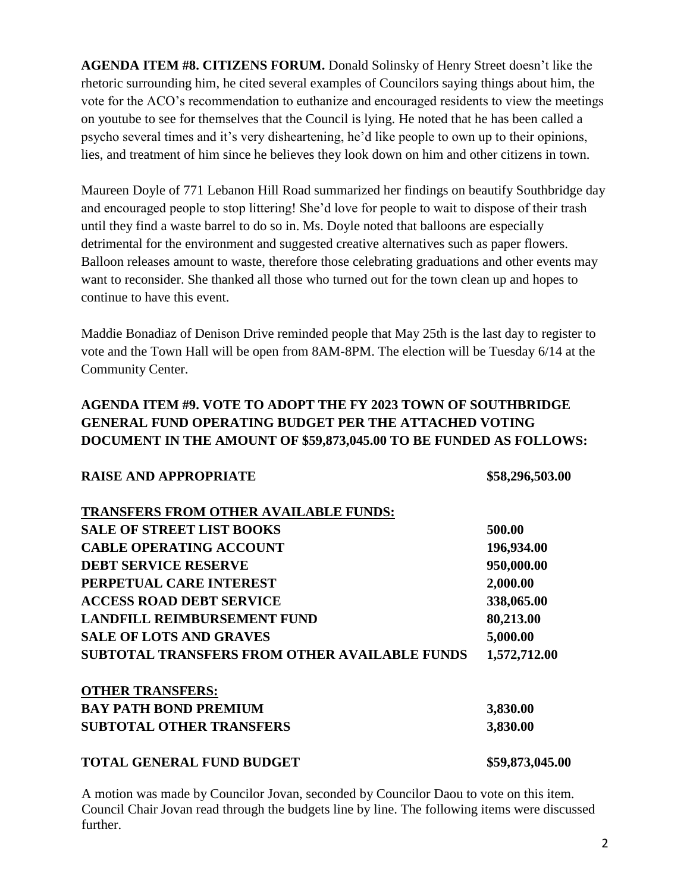**AGENDA ITEM #8. CITIZENS FORUM.** Donald Solinsky of Henry Street doesn't like the rhetoric surrounding him, he cited several examples of Councilors saying things about him, the vote for the ACO's recommendation to euthanize and encouraged residents to view the meetings on youtube to see for themselves that the Council is lying. He noted that he has been called a psycho several times and it's very disheartening, he'd like people to own up to their opinions, lies, and treatment of him since he believes they look down on him and other citizens in town.

Maureen Doyle of 771 Lebanon Hill Road summarized her findings on beautify Southbridge day and encouraged people to stop littering! She'd love for people to wait to dispose of their trash until they find a waste barrel to do so in. Ms. Doyle noted that balloons are especially detrimental for the environment and suggested creative alternatives such as paper flowers. Balloon releases amount to waste, therefore those celebrating graduations and other events may want to reconsider. She thanked all those who turned out for the town clean up and hopes to continue to have this event.

Maddie Bonadiaz of Denison Drive reminded people that May 25th is the last day to register to vote and the Town Hall will be open from 8AM-8PM. The election will be Tuesday 6/14 at the Community Center.

#### **AGENDA ITEM #9. VOTE TO ADOPT THE FY 2023 TOWN OF SOUTHBRIDGE GENERAL FUND OPERATING BUDGET PER THE ATTACHED VOTING DOCUMENT IN THE AMOUNT OF \$59,873,045.00 TO BE FUNDED AS FOLLOWS:**

| <b>RAISE AND APPROPRIATE</b>                         | \$58,296,503.00 |
|------------------------------------------------------|-----------------|
| <b>TRANSFERS FROM OTHER AVAILABLE FUNDS:</b>         |                 |
| <b>SALE OF STREET LIST BOOKS</b>                     | 500.00          |
| <b>CABLE OPERATING ACCOUNT</b>                       | 196,934.00      |
| <b>DEBT SERVICE RESERVE</b>                          | 950,000.00      |
| PERPETUAL CARE INTEREST                              | 2,000.00        |
| <b>ACCESS ROAD DEBT SERVICE</b>                      | 338,065.00      |
| <b>LANDFILL REIMBURSEMENT FUND</b>                   | 80,213.00       |
| <b>SALE OF LOTS AND GRAVES</b>                       | 5,000.00        |
| <b>SUBTOTAL TRANSFERS FROM OTHER AVAILABLE FUNDS</b> | 1,572,712.00    |
| <b>OTHER TRANSFERS:</b>                              |                 |
| <b>BAY PATH BOND PREMIUM</b>                         | 3,830.00        |
| <b>SUBTOTAL OTHER TRANSFERS</b>                      | 3,830.00        |
| <b>TOTAL GENERAL FUND BUDGET</b>                     | \$59,873,045.00 |

A motion was made by Councilor Jovan, seconded by Councilor Daou to vote on this item. Council Chair Jovan read through the budgets line by line. The following items were discussed further.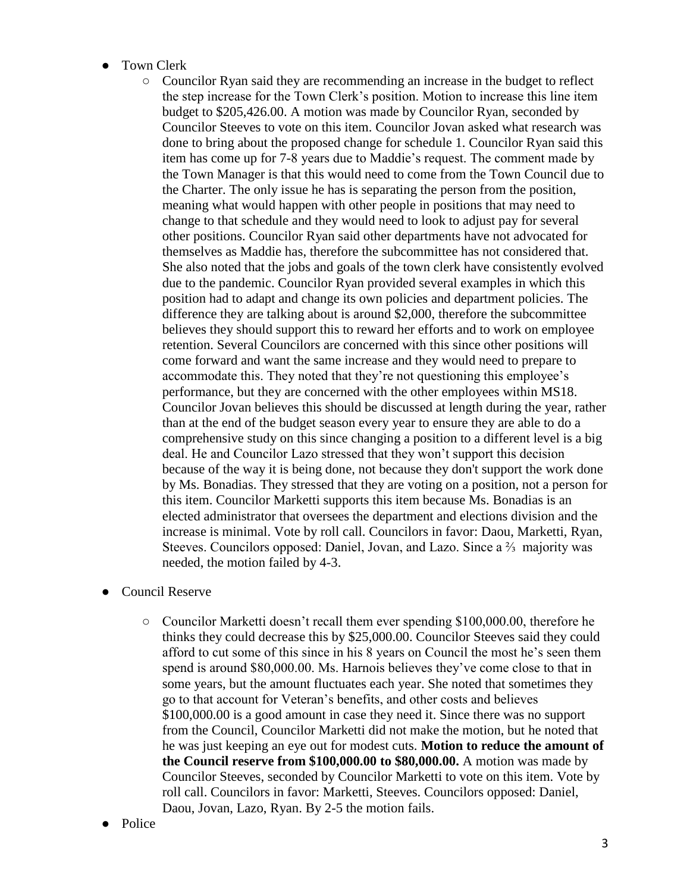- Town Clerk
	- Councilor Ryan said they are recommending an increase in the budget to reflect the step increase for the Town Clerk's position. Motion to increase this line item budget to \$205,426.00. A motion was made by Councilor Ryan, seconded by Councilor Steeves to vote on this item. Councilor Jovan asked what research was done to bring about the proposed change for schedule 1. Councilor Ryan said this item has come up for 7-8 years due to Maddie's request. The comment made by the Town Manager is that this would need to come from the Town Council due to the Charter. The only issue he has is separating the person from the position, meaning what would happen with other people in positions that may need to change to that schedule and they would need to look to adjust pay for several other positions. Councilor Ryan said other departments have not advocated for themselves as Maddie has, therefore the subcommittee has not considered that. She also noted that the jobs and goals of the town clerk have consistently evolved due to the pandemic. Councilor Ryan provided several examples in which this position had to adapt and change its own policies and department policies. The difference they are talking about is around \$2,000, therefore the subcommittee believes they should support this to reward her efforts and to work on employee retention. Several Councilors are concerned with this since other positions will come forward and want the same increase and they would need to prepare to accommodate this. They noted that they're not questioning this employee's performance, but they are concerned with the other employees within MS18. Councilor Jovan believes this should be discussed at length during the year, rather than at the end of the budget season every year to ensure they are able to do a comprehensive study on this since changing a position to a different level is a big deal. He and Councilor Lazo stressed that they won't support this decision because of the way it is being done, not because they don't support the work done by Ms. Bonadias. They stressed that they are voting on a position, not a person for this item. Councilor Marketti supports this item because Ms. Bonadias is an elected administrator that oversees the department and elections division and the increase is minimal. Vote by roll call. Councilors in favor: Daou, Marketti, Ryan, Steeves. Councilors opposed: Daniel, Jovan, and Lazo. Since a ⅔ majority was needed, the motion failed by 4-3.
- **Council Reserve** 
	- Councilor Marketti doesn't recall them ever spending \$100,000.00, therefore he thinks they could decrease this by \$25,000.00. Councilor Steeves said they could afford to cut some of this since in his 8 years on Council the most he's seen them spend is around \$80,000.00. Ms. Harnois believes they've come close to that in some years, but the amount fluctuates each year. She noted that sometimes they go to that account for Veteran's benefits, and other costs and believes \$100,000.00 is a good amount in case they need it. Since there was no support from the Council, Councilor Marketti did not make the motion, but he noted that he was just keeping an eye out for modest cuts. **Motion to reduce the amount of the Council reserve from \$100,000.00 to \$80,000.00.** A motion was made by Councilor Steeves, seconded by Councilor Marketti to vote on this item. Vote by roll call. Councilors in favor: Marketti, Steeves. Councilors opposed: Daniel, Daou, Jovan, Lazo, Ryan. By 2-5 the motion fails.
- Police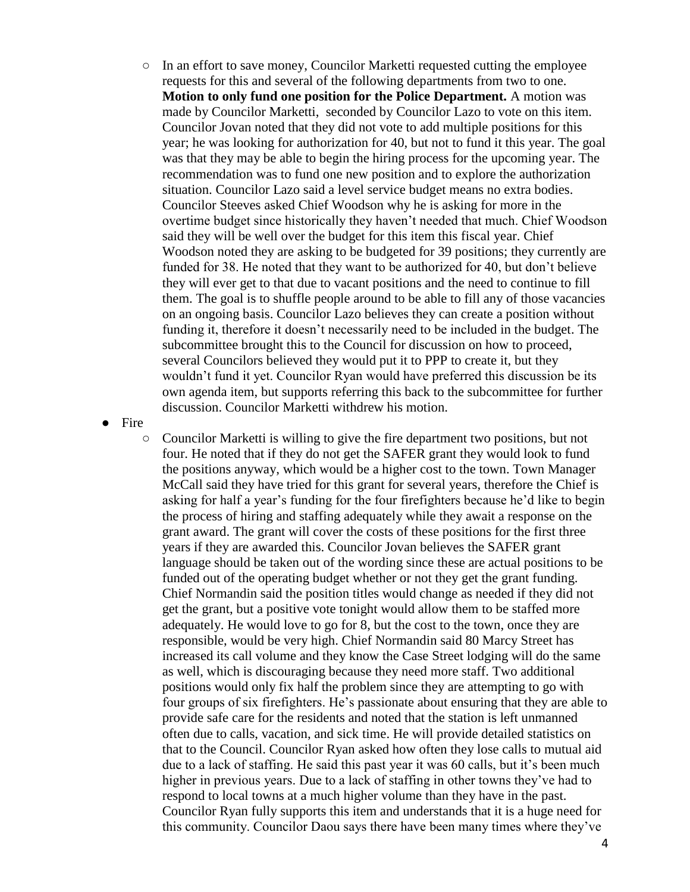○ In an effort to save money, Councilor Marketti requested cutting the employee requests for this and several of the following departments from two to one. **Motion to only fund one position for the Police Department.** A motion was made by Councilor Marketti, seconded by Councilor Lazo to vote on this item. Councilor Jovan noted that they did not vote to add multiple positions for this year; he was looking for authorization for 40, but not to fund it this year. The goal was that they may be able to begin the hiring process for the upcoming year. The recommendation was to fund one new position and to explore the authorization situation. Councilor Lazo said a level service budget means no extra bodies. Councilor Steeves asked Chief Woodson why he is asking for more in the overtime budget since historically they haven't needed that much. Chief Woodson said they will be well over the budget for this item this fiscal year. Chief Woodson noted they are asking to be budgeted for 39 positions; they currently are funded for 38. He noted that they want to be authorized for 40, but don't believe they will ever get to that due to vacant positions and the need to continue to fill them. The goal is to shuffle people around to be able to fill any of those vacancies on an ongoing basis. Councilor Lazo believes they can create a position without funding it, therefore it doesn't necessarily need to be included in the budget. The subcommittee brought this to the Council for discussion on how to proceed, several Councilors believed they would put it to PPP to create it, but they wouldn't fund it yet. Councilor Ryan would have preferred this discussion be its own agenda item, but supports referring this back to the subcommittee for further discussion. Councilor Marketti withdrew his motion.

● Fire

○ Councilor Marketti is willing to give the fire department two positions, but not four. He noted that if they do not get the SAFER grant they would look to fund the positions anyway, which would be a higher cost to the town. Town Manager McCall said they have tried for this grant for several years, therefore the Chief is asking for half a year's funding for the four firefighters because he'd like to begin the process of hiring and staffing adequately while they await a response on the grant award. The grant will cover the costs of these positions for the first three years if they are awarded this. Councilor Jovan believes the SAFER grant language should be taken out of the wording since these are actual positions to be funded out of the operating budget whether or not they get the grant funding. Chief Normandin said the position titles would change as needed if they did not get the grant, but a positive vote tonight would allow them to be staffed more adequately. He would love to go for 8, but the cost to the town, once they are responsible, would be very high. Chief Normandin said 80 Marcy Street has increased its call volume and they know the Case Street lodging will do the same as well, which is discouraging because they need more staff. Two additional positions would only fix half the problem since they are attempting to go with four groups of six firefighters. He's passionate about ensuring that they are able to provide safe care for the residents and noted that the station is left unmanned often due to calls, vacation, and sick time. He will provide detailed statistics on that to the Council. Councilor Ryan asked how often they lose calls to mutual aid due to a lack of staffing. He said this past year it was 60 calls, but it's been much higher in previous years. Due to a lack of staffing in other towns they've had to respond to local towns at a much higher volume than they have in the past. Councilor Ryan fully supports this item and understands that it is a huge need for this community. Councilor Daou says there have been many times where they've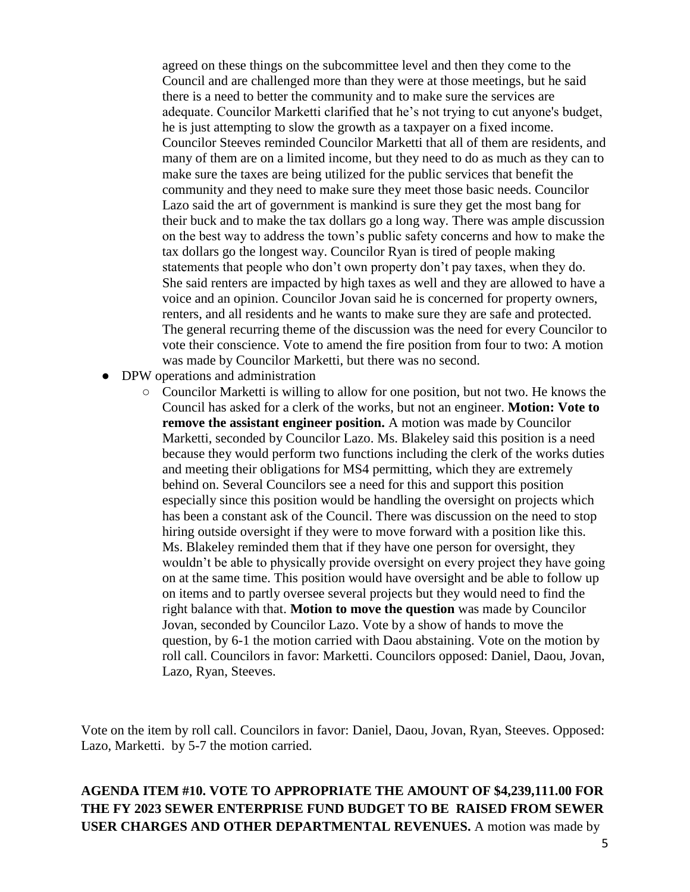agreed on these things on the subcommittee level and then they come to the Council and are challenged more than they were at those meetings, but he said there is a need to better the community and to make sure the services are adequate. Councilor Marketti clarified that he's not trying to cut anyone's budget, he is just attempting to slow the growth as a taxpayer on a fixed income. Councilor Steeves reminded Councilor Marketti that all of them are residents, and many of them are on a limited income, but they need to do as much as they can to make sure the taxes are being utilized for the public services that benefit the community and they need to make sure they meet those basic needs. Councilor Lazo said the art of government is mankind is sure they get the most bang for their buck and to make the tax dollars go a long way. There was ample discussion on the best way to address the town's public safety concerns and how to make the tax dollars go the longest way. Councilor Ryan is tired of people making statements that people who don't own property don't pay taxes, when they do. She said renters are impacted by high taxes as well and they are allowed to have a voice and an opinion. Councilor Jovan said he is concerned for property owners, renters, and all residents and he wants to make sure they are safe and protected. The general recurring theme of the discussion was the need for every Councilor to vote their conscience. Vote to amend the fire position from four to two: A motion was made by Councilor Marketti, but there was no second.

- DPW operations and administration
	- Councilor Marketti is willing to allow for one position, but not two. He knows the Council has asked for a clerk of the works, but not an engineer. **Motion: Vote to remove the assistant engineer position.** A motion was made by Councilor Marketti, seconded by Councilor Lazo. Ms. Blakeley said this position is a need because they would perform two functions including the clerk of the works duties and meeting their obligations for MS4 permitting, which they are extremely behind on. Several Councilors see a need for this and support this position especially since this position would be handling the oversight on projects which has been a constant ask of the Council. There was discussion on the need to stop hiring outside oversight if they were to move forward with a position like this. Ms. Blakeley reminded them that if they have one person for oversight, they wouldn't be able to physically provide oversight on every project they have going on at the same time. This position would have oversight and be able to follow up on items and to partly oversee several projects but they would need to find the right balance with that. **Motion to move the question** was made by Councilor Jovan, seconded by Councilor Lazo. Vote by a show of hands to move the question, by 6-1 the motion carried with Daou abstaining. Vote on the motion by roll call. Councilors in favor: Marketti. Councilors opposed: Daniel, Daou, Jovan, Lazo, Ryan, Steeves.

Vote on the item by roll call. Councilors in favor: Daniel, Daou, Jovan, Ryan, Steeves. Opposed: Lazo, Marketti. by 5-7 the motion carried.

**AGENDA ITEM #10. VOTE TO APPROPRIATE THE AMOUNT OF \$4,239,111.00 FOR THE FY 2023 SEWER ENTERPRISE FUND BUDGET TO BE RAISED FROM SEWER USER CHARGES AND OTHER DEPARTMENTAL REVENUES.** A motion was made by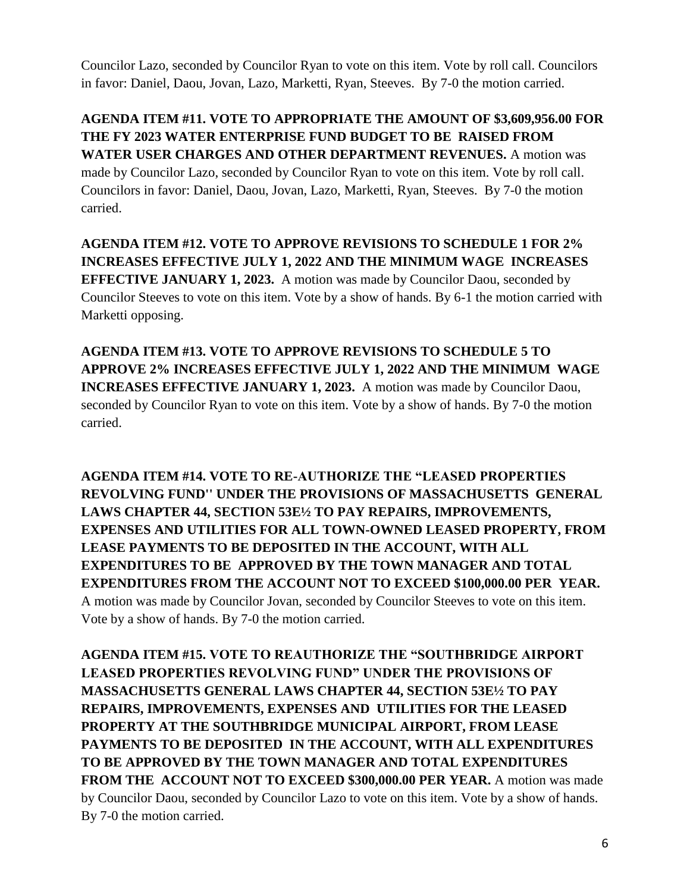Councilor Lazo, seconded by Councilor Ryan to vote on this item. Vote by roll call. Councilors in favor: Daniel, Daou, Jovan, Lazo, Marketti, Ryan, Steeves. By 7-0 the motion carried.

**AGENDA ITEM #11. VOTE TO APPROPRIATE THE AMOUNT OF \$3,609,956.00 FOR THE FY 2023 WATER ENTERPRISE FUND BUDGET TO BE RAISED FROM WATER USER CHARGES AND OTHER DEPARTMENT REVENUES.** A motion was made by Councilor Lazo, seconded by Councilor Ryan to vote on this item. Vote by roll call. Councilors in favor: Daniel, Daou, Jovan, Lazo, Marketti, Ryan, Steeves. By 7-0 the motion carried.

**AGENDA ITEM #12. VOTE TO APPROVE REVISIONS TO SCHEDULE 1 FOR 2% INCREASES EFFECTIVE JULY 1, 2022 AND THE MINIMUM WAGE INCREASES EFFECTIVE JANUARY 1, 2023.** A motion was made by Councilor Daou, seconded by Councilor Steeves to vote on this item. Vote by a show of hands. By 6-1 the motion carried with Marketti opposing.

**AGENDA ITEM #13. VOTE TO APPROVE REVISIONS TO SCHEDULE 5 TO APPROVE 2% INCREASES EFFECTIVE JULY 1, 2022 AND THE MINIMUM WAGE INCREASES EFFECTIVE JANUARY 1, 2023.** A motion was made by Councilor Daou, seconded by Councilor Ryan to vote on this item. Vote by a show of hands. By 7-0 the motion carried.

**AGENDA ITEM #14. VOTE TO RE-AUTHORIZE THE "LEASED PROPERTIES REVOLVING FUND'' UNDER THE PROVISIONS OF MASSACHUSETTS GENERAL LAWS CHAPTER 44, SECTION 53E½ TO PAY REPAIRS, IMPROVEMENTS, EXPENSES AND UTILITIES FOR ALL TOWN-OWNED LEASED PROPERTY, FROM LEASE PAYMENTS TO BE DEPOSITED IN THE ACCOUNT, WITH ALL EXPENDITURES TO BE APPROVED BY THE TOWN MANAGER AND TOTAL EXPENDITURES FROM THE ACCOUNT NOT TO EXCEED \$100,000.00 PER YEAR.**  A motion was made by Councilor Jovan, seconded by Councilor Steeves to vote on this item. Vote by a show of hands. By 7-0 the motion carried.

**AGENDA ITEM #15. VOTE TO REAUTHORIZE THE "SOUTHBRIDGE AIRPORT LEASED PROPERTIES REVOLVING FUND" UNDER THE PROVISIONS OF MASSACHUSETTS GENERAL LAWS CHAPTER 44, SECTION 53E½ TO PAY REPAIRS, IMPROVEMENTS, EXPENSES AND UTILITIES FOR THE LEASED PROPERTY AT THE SOUTHBRIDGE MUNICIPAL AIRPORT, FROM LEASE PAYMENTS TO BE DEPOSITED IN THE ACCOUNT, WITH ALL EXPENDITURES TO BE APPROVED BY THE TOWN MANAGER AND TOTAL EXPENDITURES**  FROM THE ACCOUNT NOT TO EXCEED \$300,000.00 PER YEAR. A motion was made by Councilor Daou, seconded by Councilor Lazo to vote on this item. Vote by a show of hands. By 7-0 the motion carried.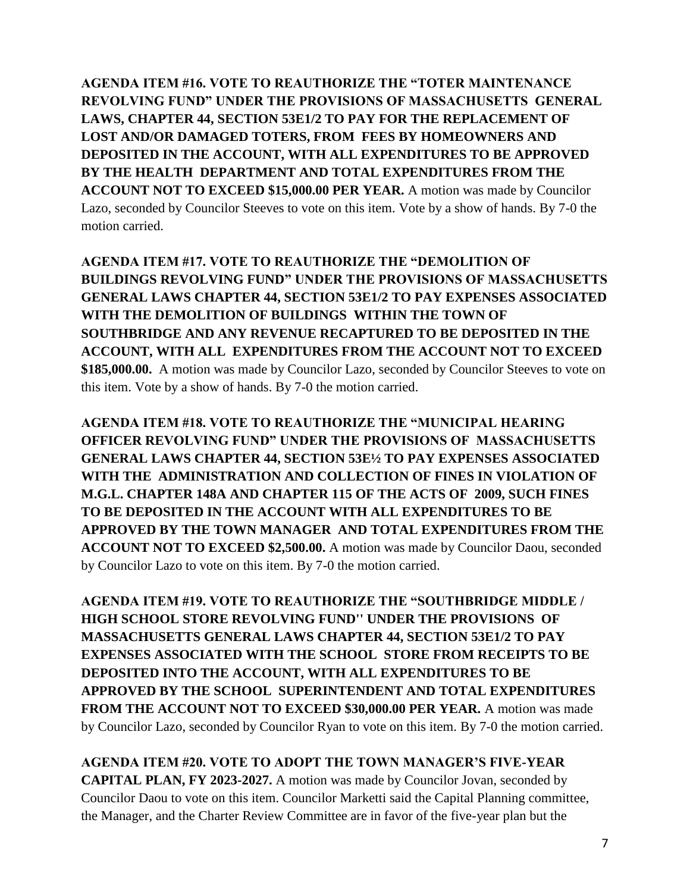**AGENDA ITEM #16. VOTE TO REAUTHORIZE THE "TOTER MAINTENANCE REVOLVING FUND" UNDER THE PROVISIONS OF MASSACHUSETTS GENERAL LAWS, CHAPTER 44, SECTION 53E1/2 TO PAY FOR THE REPLACEMENT OF LOST AND/OR DAMAGED TOTERS, FROM FEES BY HOMEOWNERS AND DEPOSITED IN THE ACCOUNT, WITH ALL EXPENDITURES TO BE APPROVED BY THE HEALTH DEPARTMENT AND TOTAL EXPENDITURES FROM THE ACCOUNT NOT TO EXCEED \$15,000.00 PER YEAR.** A motion was made by Councilor Lazo, seconded by Councilor Steeves to vote on this item. Vote by a show of hands. By 7-0 the motion carried.

**AGENDA ITEM #17. VOTE TO REAUTHORIZE THE "DEMOLITION OF BUILDINGS REVOLVING FUND" UNDER THE PROVISIONS OF MASSACHUSETTS GENERAL LAWS CHAPTER 44, SECTION 53E1/2 TO PAY EXPENSES ASSOCIATED WITH THE DEMOLITION OF BUILDINGS WITHIN THE TOWN OF SOUTHBRIDGE AND ANY REVENUE RECAPTURED TO BE DEPOSITED IN THE ACCOUNT, WITH ALL EXPENDITURES FROM THE ACCOUNT NOT TO EXCEED \$185,000.00.** A motion was made by Councilor Lazo, seconded by Councilor Steeves to vote on this item. Vote by a show of hands. By 7-0 the motion carried.

**AGENDA ITEM #18. VOTE TO REAUTHORIZE THE "MUNICIPAL HEARING OFFICER REVOLVING FUND" UNDER THE PROVISIONS OF MASSACHUSETTS GENERAL LAWS CHAPTER 44, SECTION 53E½ TO PAY EXPENSES ASSOCIATED WITH THE ADMINISTRATION AND COLLECTION OF FINES IN VIOLATION OF M.G.L. CHAPTER 148A AND CHAPTER 115 OF THE ACTS OF 2009, SUCH FINES TO BE DEPOSITED IN THE ACCOUNT WITH ALL EXPENDITURES TO BE APPROVED BY THE TOWN MANAGER AND TOTAL EXPENDITURES FROM THE ACCOUNT NOT TO EXCEED \$2,500.00.** A motion was made by Councilor Daou, seconded by Councilor Lazo to vote on this item. By 7-0 the motion carried.

**AGENDA ITEM #19. VOTE TO REAUTHORIZE THE "SOUTHBRIDGE MIDDLE / HIGH SCHOOL STORE REVOLVING FUND'' UNDER THE PROVISIONS OF MASSACHUSETTS GENERAL LAWS CHAPTER 44, SECTION 53E1/2 TO PAY EXPENSES ASSOCIATED WITH THE SCHOOL STORE FROM RECEIPTS TO BE DEPOSITED INTO THE ACCOUNT, WITH ALL EXPENDITURES TO BE APPROVED BY THE SCHOOL SUPERINTENDENT AND TOTAL EXPENDITURES FROM THE ACCOUNT NOT TO EXCEED \$30,000.00 PER YEAR.** A motion was made by Councilor Lazo, seconded by Councilor Ryan to vote on this item. By 7-0 the motion carried.

**AGENDA ITEM #20. VOTE TO ADOPT THE TOWN MANAGER'S FIVE-YEAR CAPITAL PLAN, FY 2023-2027.** A motion was made by Councilor Jovan, seconded by Councilor Daou to vote on this item. Councilor Marketti said the Capital Planning committee, the Manager, and the Charter Review Committee are in favor of the five-year plan but the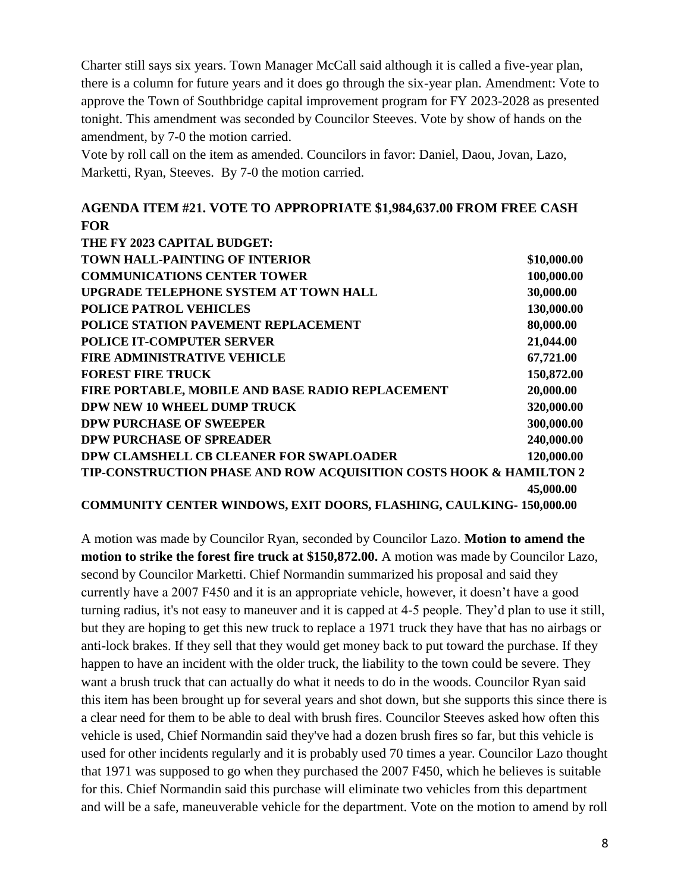Charter still says six years. Town Manager McCall said although it is called a five-year plan, there is a column for future years and it does go through the six-year plan. Amendment: Vote to approve the Town of Southbridge capital improvement program for FY 2023-2028 as presented tonight. This amendment was seconded by Councilor Steeves. Vote by show of hands on the amendment, by 7-0 the motion carried.

Vote by roll call on the item as amended. Councilors in favor: Daniel, Daou, Jovan, Lazo, Marketti, Ryan, Steeves. By 7-0 the motion carried.

#### **AGENDA ITEM #21. VOTE TO APPROPRIATE \$1,984,637.00 FROM FREE CASH FOR**

| THE FY 2023 CAPITAL BUDGET:                                                |             |
|----------------------------------------------------------------------------|-------------|
| <b>TOWN HALL-PAINTING OF INTERIOR</b>                                      | \$10,000.00 |
| <b>COMMUNICATIONS CENTER TOWER</b>                                         | 100,000.00  |
| UPGRADE TELEPHONE SYSTEM AT TOWN HALL                                      | 30,000.00   |
| <b>POLICE PATROL VEHICLES</b>                                              | 130,000.00  |
| POLICE STATION PAVEMENT REPLACEMENT                                        | 80,000.00   |
| <b>POLICE IT-COMPUTER SERVER</b>                                           | 21,044.00   |
| <b>FIRE ADMINISTRATIVE VEHICLE</b>                                         | 67,721.00   |
| <b>FOREST FIRE TRUCK</b>                                                   | 150,872.00  |
| FIRE PORTABLE, MOBILE AND BASE RADIO REPLACEMENT                           | 20,000.00   |
| DPW NEW 10 WHEEL DUMP TRUCK                                                | 320,000.00  |
| <b>DPW PURCHASE OF SWEEPER</b>                                             | 300,000.00  |
| <b>DPW PURCHASE OF SPREADER</b>                                            | 240,000.00  |
| DPW CLAMSHELL CB CLEANER FOR SWAPLOADER                                    | 120,000.00  |
| TIP-CONSTRUCTION PHASE AND ROW ACQUISITION COSTS HOOK & HAMILTON 2         |             |
|                                                                            | 45,000.00   |
| <b>COMMUNITY CENTER WINDOWS, EXIT DOORS, FLASHING, CAULKING-150,000.00</b> |             |

A motion was made by Councilor Ryan, seconded by Councilor Lazo. **Motion to amend the motion to strike the forest fire truck at \$150,872.00.** A motion was made by Councilor Lazo, second by Councilor Marketti. Chief Normandin summarized his proposal and said they currently have a 2007 F450 and it is an appropriate vehicle, however, it doesn't have a good turning radius, it's not easy to maneuver and it is capped at 4-5 people. They'd plan to use it still, but they are hoping to get this new truck to replace a 1971 truck they have that has no airbags or anti-lock brakes. If they sell that they would get money back to put toward the purchase. If they happen to have an incident with the older truck, the liability to the town could be severe. They want a brush truck that can actually do what it needs to do in the woods. Councilor Ryan said this item has been brought up for several years and shot down, but she supports this since there is a clear need for them to be able to deal with brush fires. Councilor Steeves asked how often this vehicle is used, Chief Normandin said they've had a dozen brush fires so far, but this vehicle is used for other incidents regularly and it is probably used 70 times a year. Councilor Lazo thought that 1971 was supposed to go when they purchased the 2007 F450, which he believes is suitable for this. Chief Normandin said this purchase will eliminate two vehicles from this department and will be a safe, maneuverable vehicle for the department. Vote on the motion to amend by roll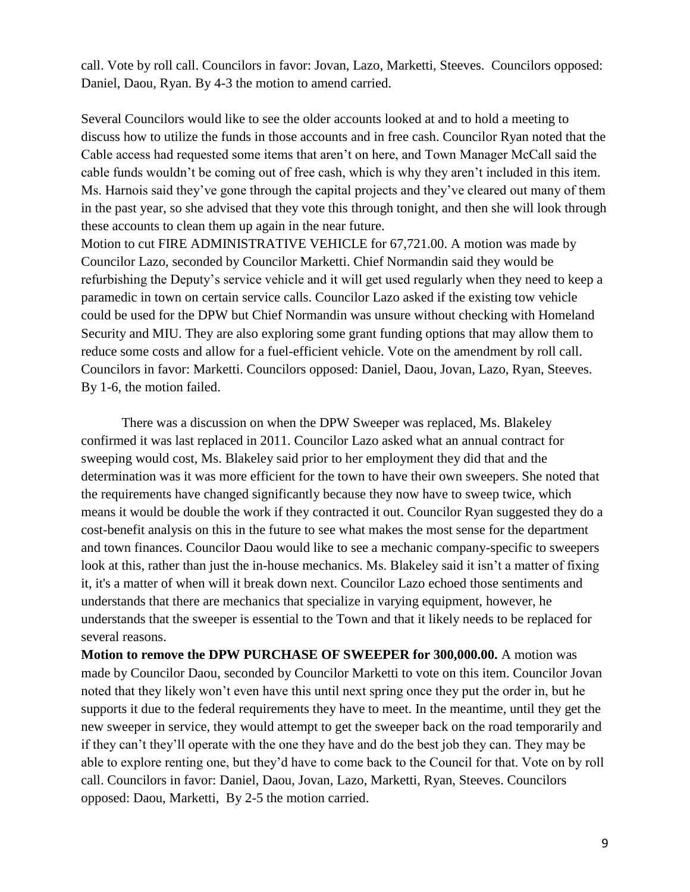call. Vote by roll call. Councilors in favor: Jovan, Lazo, Marketti, Steeves. Councilors opposed: Daniel, Daou, Ryan. By 4-3 the motion to amend carried.

Several Councilors would like to see the older accounts looked at and to hold a meeting to discuss how to utilize the funds in those accounts and in free cash. Councilor Ryan noted that the Cable access had requested some items that aren't on here, and Town Manager McCall said the cable funds wouldn't be coming out of free cash, which is why they aren't included in this item. Ms. Harnois said they've gone through the capital projects and they've cleared out many of them in the past year, so she advised that they vote this through tonight, and then she will look through these accounts to clean them up again in the near future.

Motion to cut FIRE ADMINISTRATIVE VEHICLE for 67,721.00. A motion was made by Councilor Lazo, seconded by Councilor Marketti. Chief Normandin said they would be refurbishing the Deputy's service vehicle and it will get used regularly when they need to keep a paramedic in town on certain service calls. Councilor Lazo asked if the existing tow vehicle could be used for the DPW but Chief Normandin was unsure without checking with Homeland Security and MIU. They are also exploring some grant funding options that may allow them to reduce some costs and allow for a fuel-efficient vehicle. Vote on the amendment by roll call. Councilors in favor: Marketti. Councilors opposed: Daniel, Daou, Jovan, Lazo, Ryan, Steeves. By 1-6, the motion failed.

There was a discussion on when the DPW Sweeper was replaced, Ms. Blakeley confirmed it was last replaced in 2011. Councilor Lazo asked what an annual contract for sweeping would cost, Ms. Blakeley said prior to her employment they did that and the determination was it was more efficient for the town to have their own sweepers. She noted that the requirements have changed significantly because they now have to sweep twice, which means it would be double the work if they contracted it out. Councilor Ryan suggested they do a cost-benefit analysis on this in the future to see what makes the most sense for the department and town finances. Councilor Daou would like to see a mechanic company-specific to sweepers look at this, rather than just the in-house mechanics. Ms. Blakeley said it isn't a matter of fixing it, it's a matter of when will it break down next. Councilor Lazo echoed those sentiments and understands that there are mechanics that specialize in varying equipment, however, he understands that the sweeper is essential to the Town and that it likely needs to be replaced for several reasons.

**Motion to remove the DPW PURCHASE OF SWEEPER for 300,000.00.** A motion was made by Councilor Daou, seconded by Councilor Marketti to vote on this item. Councilor Jovan noted that they likely won't even have this until next spring once they put the order in, but he supports it due to the federal requirements they have to meet. In the meantime, until they get the new sweeper in service, they would attempt to get the sweeper back on the road temporarily and if they can't they'll operate with the one they have and do the best job they can. They may be able to explore renting one, but they'd have to come back to the Council for that. Vote on by roll call. Councilors in favor: Daniel, Daou, Jovan, Lazo, Marketti, Ryan, Steeves. Councilors opposed: Daou, Marketti, By 2-5 the motion carried.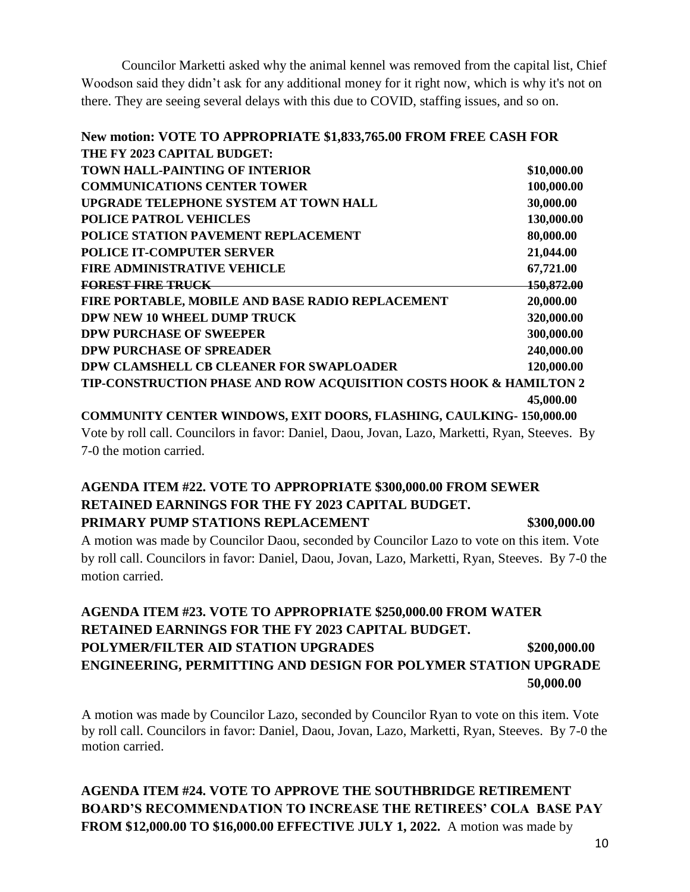Councilor Marketti asked why the animal kennel was removed from the capital list, Chief Woodson said they didn't ask for any additional money for it right now, which is why it's not on there. They are seeing several delays with this due to COVID, staffing issues, and so on.

| New motion: VOTE TO APPROPRIATE \$1,833,765.00 FROM FREE CASH FOR  |                   |
|--------------------------------------------------------------------|-------------------|
| THE FY 2023 CAPITAL BUDGET:                                        |                   |
| <b>TOWN HALL-PAINTING OF INTERIOR</b>                              | \$10,000.00       |
| <b>COMMUNICATIONS CENTER TOWER</b>                                 | 100,000.00        |
| UPGRADE TELEPHONE SYSTEM AT TOWN HALL                              | 30,000.00         |
| POLICE PATROL VEHICLES                                             | 130,000.00        |
| <b>POLICE STATION PAVEMENT REPLACEMENT</b>                         | 80,000.00         |
| <b>POLICE IT-COMPUTER SERVER</b>                                   | 21,044.00         |
| <b>FIRE ADMINISTRATIVE VEHICLE</b>                                 | 67,721.00         |
| <b>FOREST FIRE TRUCK</b>                                           | <b>150,872.00</b> |
| FIRE PORTABLE, MOBILE AND BASE RADIO REPLACEMENT                   | 20,000.00         |
| <b>DPW NEW 10 WHEEL DUMP TRUCK</b>                                 | 320,000.00        |
| <b>DPW PURCHASE OF SWEEPER</b>                                     | 300,000.00        |
| <b>DPW PURCHASE OF SPREADER</b>                                    | 240,000.00        |
| DPW CLAMSHELL CB CLEANER FOR SWAPLOADER                            | 120,000.00        |
| TIP-CONSTRUCTION PHASE AND ROW ACQUISITION COSTS HOOK & HAMILTON 2 |                   |
|                                                                    | 45,000.00         |

**COMMUNITY CENTER WINDOWS, EXIT DOORS, FLASHING, CAULKING- 150,000.00** Vote by roll call. Councilors in favor: Daniel, Daou, Jovan, Lazo, Marketti, Ryan, Steeves. By 7-0 the motion carried.

# **AGENDA ITEM #22. VOTE TO APPROPRIATE \$300,000.00 FROM SEWER RETAINED EARNINGS FOR THE FY 2023 CAPITAL BUDGET.**

**PRIMARY PUMP STATIONS REPLACEMENT**  $$300,000,000$ 

A motion was made by Councilor Daou, seconded by Councilor Lazo to vote on this item. Vote by roll call. Councilors in favor: Daniel, Daou, Jovan, Lazo, Marketti, Ryan, Steeves. By 7-0 the motion carried.

## **AGENDA ITEM #23. VOTE TO APPROPRIATE \$250,000.00 FROM WATER RETAINED EARNINGS FOR THE FY 2023 CAPITAL BUDGET. POLYMER/FILTER AID STATION UPGRADES \$200,000.00 ENGINEERING, PERMITTING AND DESIGN FOR POLYMER STATION UPGRADE 50,000.00**

A motion was made by Councilor Lazo, seconded by Councilor Ryan to vote on this item. Vote by roll call. Councilors in favor: Daniel, Daou, Jovan, Lazo, Marketti, Ryan, Steeves. By 7-0 the motion carried.

**AGENDA ITEM #24. VOTE TO APPROVE THE SOUTHBRIDGE RETIREMENT BOARD'S RECOMMENDATION TO INCREASE THE RETIREES' COLA BASE PAY FROM \$12,000.00 TO \$16,000.00 EFFECTIVE JULY 1, 2022.** A motion was made by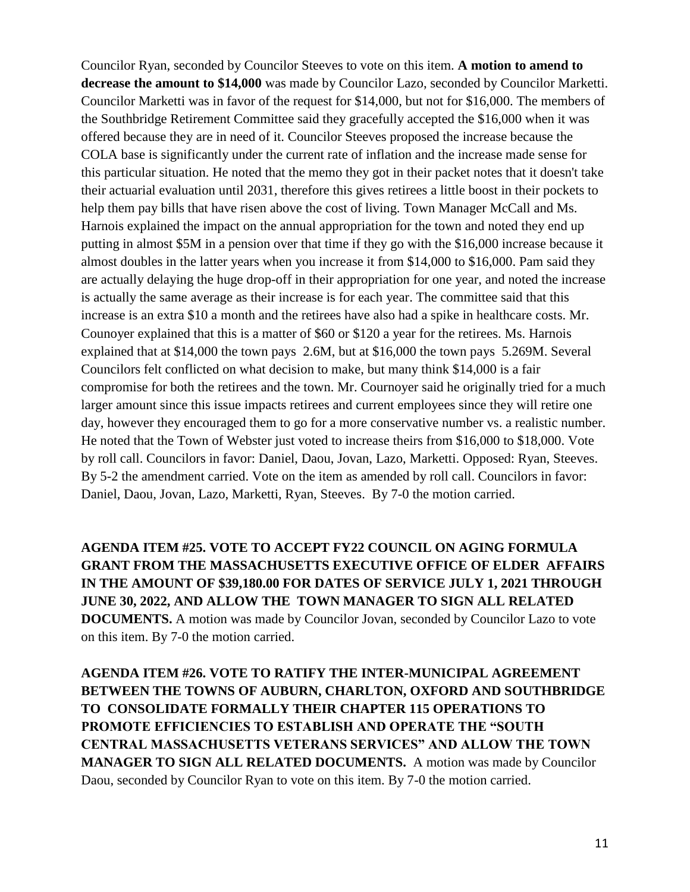Councilor Ryan, seconded by Councilor Steeves to vote on this item. **A motion to amend to decrease the amount to \$14,000** was made by Councilor Lazo, seconded by Councilor Marketti. Councilor Marketti was in favor of the request for \$14,000, but not for \$16,000. The members of the Southbridge Retirement Committee said they gracefully accepted the \$16,000 when it was offered because they are in need of it. Councilor Steeves proposed the increase because the COLA base is significantly under the current rate of inflation and the increase made sense for this particular situation. He noted that the memo they got in their packet notes that it doesn't take their actuarial evaluation until 2031, therefore this gives retirees a little boost in their pockets to help them pay bills that have risen above the cost of living. Town Manager McCall and Ms. Harnois explained the impact on the annual appropriation for the town and noted they end up putting in almost \$5M in a pension over that time if they go with the \$16,000 increase because it almost doubles in the latter years when you increase it from \$14,000 to \$16,000. Pam said they are actually delaying the huge drop-off in their appropriation for one year, and noted the increase is actually the same average as their increase is for each year. The committee said that this increase is an extra \$10 a month and the retirees have also had a spike in healthcare costs. Mr. Counoyer explained that this is a matter of \$60 or \$120 a year for the retirees. Ms. Harnois explained that at \$14,000 the town pays 2.6M, but at \$16,000 the town pays 5.269M. Several Councilors felt conflicted on what decision to make, but many think \$14,000 is a fair compromise for both the retirees and the town. Mr. Cournoyer said he originally tried for a much larger amount since this issue impacts retirees and current employees since they will retire one day, however they encouraged them to go for a more conservative number vs. a realistic number. He noted that the Town of Webster just voted to increase theirs from \$16,000 to \$18,000. Vote by roll call. Councilors in favor: Daniel, Daou, Jovan, Lazo, Marketti. Opposed: Ryan, Steeves. By 5-2 the amendment carried. Vote on the item as amended by roll call. Councilors in favor: Daniel, Daou, Jovan, Lazo, Marketti, Ryan, Steeves. By 7-0 the motion carried.

**AGENDA ITEM #25. VOTE TO ACCEPT FY22 COUNCIL ON AGING FORMULA GRANT FROM THE MASSACHUSETTS EXECUTIVE OFFICE OF ELDER AFFAIRS IN THE AMOUNT OF \$39,180.00 FOR DATES OF SERVICE JULY 1, 2021 THROUGH JUNE 30, 2022, AND ALLOW THE TOWN MANAGER TO SIGN ALL RELATED DOCUMENTS.** A motion was made by Councilor Jovan, seconded by Councilor Lazo to vote on this item. By 7-0 the motion carried.

**AGENDA ITEM #26. VOTE TO RATIFY THE INTER-MUNICIPAL AGREEMENT BETWEEN THE TOWNS OF AUBURN, CHARLTON, OXFORD AND SOUTHBRIDGE TO CONSOLIDATE FORMALLY THEIR CHAPTER 115 OPERATIONS TO PROMOTE EFFICIENCIES TO ESTABLISH AND OPERATE THE "SOUTH CENTRAL MASSACHUSETTS VETERANS SERVICES" AND ALLOW THE TOWN MANAGER TO SIGN ALL RELATED DOCUMENTS.** A motion was made by Councilor Daou, seconded by Councilor Ryan to vote on this item. By 7-0 the motion carried.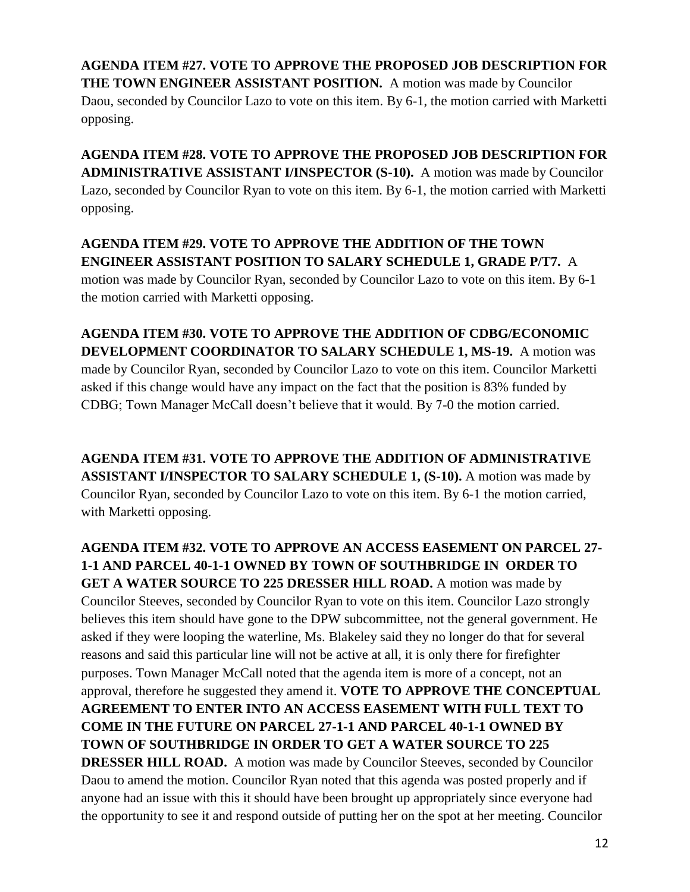**AGENDA ITEM #27. VOTE TO APPROVE THE PROPOSED JOB DESCRIPTION FOR THE TOWN ENGINEER ASSISTANT POSITION.** A motion was made by Councilor Daou, seconded by Councilor Lazo to vote on this item. By 6-1, the motion carried with Marketti opposing.

**AGENDA ITEM #28. VOTE TO APPROVE THE PROPOSED JOB DESCRIPTION FOR ADMINISTRATIVE ASSISTANT I/INSPECTOR (S-10).** A motion was made by Councilor Lazo, seconded by Councilor Ryan to vote on this item. By 6-1, the motion carried with Marketti opposing.

**AGENDA ITEM #29. VOTE TO APPROVE THE ADDITION OF THE TOWN ENGINEER ASSISTANT POSITION TO SALARY SCHEDULE 1, GRADE P/T7.** A motion was made by Councilor Ryan, seconded by Councilor Lazo to vote on this item. By 6-1 the motion carried with Marketti opposing.

**AGENDA ITEM #30. VOTE TO APPROVE THE ADDITION OF CDBG/ECONOMIC DEVELOPMENT COORDINATOR TO SALARY SCHEDULE 1, MS-19.** A motion was made by Councilor Ryan, seconded by Councilor Lazo to vote on this item. Councilor Marketti asked if this change would have any impact on the fact that the position is 83% funded by CDBG; Town Manager McCall doesn't believe that it would. By 7-0 the motion carried.

**AGENDA ITEM #31. VOTE TO APPROVE THE ADDITION OF ADMINISTRATIVE ASSISTANT I/INSPECTOR TO SALARY SCHEDULE 1, (S-10).** A motion was made by Councilor Ryan, seconded by Councilor Lazo to vote on this item. By 6-1 the motion carried, with Marketti opposing.

**AGENDA ITEM #32. VOTE TO APPROVE AN ACCESS EASEMENT ON PARCEL 27- 1-1 AND PARCEL 40-1-1 OWNED BY TOWN OF SOUTHBRIDGE IN ORDER TO GET A WATER SOURCE TO 225 DRESSER HILL ROAD.** A motion was made by Councilor Steeves, seconded by Councilor Ryan to vote on this item. Councilor Lazo strongly believes this item should have gone to the DPW subcommittee, not the general government. He asked if they were looping the waterline, Ms. Blakeley said they no longer do that for several reasons and said this particular line will not be active at all, it is only there for firefighter purposes. Town Manager McCall noted that the agenda item is more of a concept, not an approval, therefore he suggested they amend it. **VOTE TO APPROVE THE CONCEPTUAL AGREEMENT TO ENTER INTO AN ACCESS EASEMENT WITH FULL TEXT TO COME IN THE FUTURE ON PARCEL 27-1-1 AND PARCEL 40-1-1 OWNED BY TOWN OF SOUTHBRIDGE IN ORDER TO GET A WATER SOURCE TO 225 DRESSER HILL ROAD.** A motion was made by Councilor Steeves, seconded by Councilor Daou to amend the motion. Councilor Ryan noted that this agenda was posted properly and if anyone had an issue with this it should have been brought up appropriately since everyone had the opportunity to see it and respond outside of putting her on the spot at her meeting. Councilor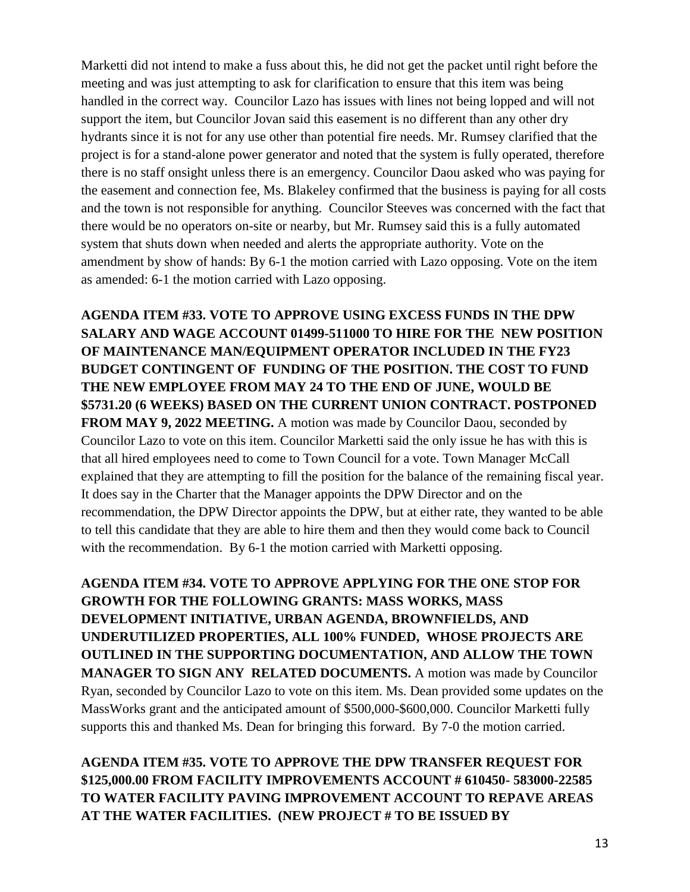Marketti did not intend to make a fuss about this, he did not get the packet until right before the meeting and was just attempting to ask for clarification to ensure that this item was being handled in the correct way. Councilor Lazo has issues with lines not being lopped and will not support the item, but Councilor Jovan said this easement is no different than any other dry hydrants since it is not for any use other than potential fire needs. Mr. Rumsey clarified that the project is for a stand-alone power generator and noted that the system is fully operated, therefore there is no staff onsight unless there is an emergency. Councilor Daou asked who was paying for the easement and connection fee, Ms. Blakeley confirmed that the business is paying for all costs and the town is not responsible for anything. Councilor Steeves was concerned with the fact that there would be no operators on-site or nearby, but Mr. Rumsey said this is a fully automated system that shuts down when needed and alerts the appropriate authority. Vote on the amendment by show of hands: By 6-1 the motion carried with Lazo opposing. Vote on the item as amended: 6-1 the motion carried with Lazo opposing.

**AGENDA ITEM #33. VOTE TO APPROVE USING EXCESS FUNDS IN THE DPW SALARY AND WAGE ACCOUNT 01499-511000 TO HIRE FOR THE NEW POSITION OF MAINTENANCE MAN/EQUIPMENT OPERATOR INCLUDED IN THE FY23 BUDGET CONTINGENT OF FUNDING OF THE POSITION. THE COST TO FUND THE NEW EMPLOYEE FROM MAY 24 TO THE END OF JUNE, WOULD BE \$5731.20 (6 WEEKS) BASED ON THE CURRENT UNION CONTRACT. POSTPONED**  FROM MAY 9, 2022 MEETING. A motion was made by Councilor Daou, seconded by Councilor Lazo to vote on this item. Councilor Marketti said the only issue he has with this is that all hired employees need to come to Town Council for a vote. Town Manager McCall explained that they are attempting to fill the position for the balance of the remaining fiscal year. It does say in the Charter that the Manager appoints the DPW Director and on the recommendation, the DPW Director appoints the DPW, but at either rate, they wanted to be able to tell this candidate that they are able to hire them and then they would come back to Council with the recommendation. By 6-1 the motion carried with Marketti opposing.

**AGENDA ITEM #34. VOTE TO APPROVE APPLYING FOR THE ONE STOP FOR GROWTH FOR THE FOLLOWING GRANTS: MASS WORKS, MASS DEVELOPMENT INITIATIVE, URBAN AGENDA, BROWNFIELDS, AND UNDERUTILIZED PROPERTIES, ALL 100% FUNDED, WHOSE PROJECTS ARE OUTLINED IN THE SUPPORTING DOCUMENTATION, AND ALLOW THE TOWN MANAGER TO SIGN ANY RELATED DOCUMENTS.** A motion was made by Councilor Ryan, seconded by Councilor Lazo to vote on this item. Ms. Dean provided some updates on the MassWorks grant and the anticipated amount of \$500,000-\$600,000. Councilor Marketti fully supports this and thanked Ms. Dean for bringing this forward. By 7-0 the motion carried.

**AGENDA ITEM #35. VOTE TO APPROVE THE DPW TRANSFER REQUEST FOR \$125,000.00 FROM FACILITY IMPROVEMENTS ACCOUNT # 610450- 583000-22585 TO WATER FACILITY PAVING IMPROVEMENT ACCOUNT TO REPAVE AREAS AT THE WATER FACILITIES. (NEW PROJECT # TO BE ISSUED BY**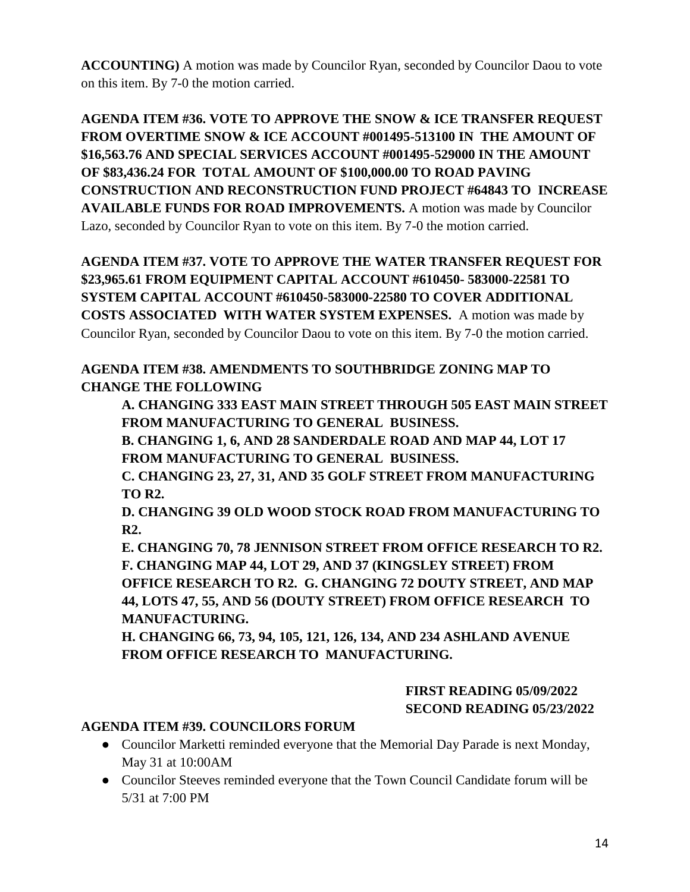**ACCOUNTING)** A motion was made by Councilor Ryan, seconded by Councilor Daou to vote on this item. By 7-0 the motion carried.

**AGENDA ITEM #36. VOTE TO APPROVE THE SNOW & ICE TRANSFER REQUEST FROM OVERTIME SNOW & ICE ACCOUNT #001495-513100 IN THE AMOUNT OF \$16,563.76 AND SPECIAL SERVICES ACCOUNT #001495-529000 IN THE AMOUNT OF \$83,436.24 FOR TOTAL AMOUNT OF \$100,000.00 TO ROAD PAVING CONSTRUCTION AND RECONSTRUCTION FUND PROJECT #64843 TO INCREASE AVAILABLE FUNDS FOR ROAD IMPROVEMENTS.** A motion was made by Councilor Lazo, seconded by Councilor Ryan to vote on this item. By 7-0 the motion carried.

## **AGENDA ITEM #37. VOTE TO APPROVE THE WATER TRANSFER REQUEST FOR \$23,965.61 FROM EQUIPMENT CAPITAL ACCOUNT #610450- 583000-22581 TO SYSTEM CAPITAL ACCOUNT #610450-583000-22580 TO COVER ADDITIONAL COSTS ASSOCIATED WITH WATER SYSTEM EXPENSES.** A motion was made by Councilor Ryan, seconded by Councilor Daou to vote on this item. By 7-0 the motion carried.

## **AGENDA ITEM #38. AMENDMENTS TO SOUTHBRIDGE ZONING MAP TO CHANGE THE FOLLOWING**

**A. CHANGING 333 EAST MAIN STREET THROUGH 505 EAST MAIN STREET FROM MANUFACTURING TO GENERAL BUSINESS.** 

**B. CHANGING 1, 6, AND 28 SANDERDALE ROAD AND MAP 44, LOT 17 FROM MANUFACTURING TO GENERAL BUSINESS.** 

**C. CHANGING 23, 27, 31, AND 35 GOLF STREET FROM MANUFACTURING TO R2.** 

**D. CHANGING 39 OLD WOOD STOCK ROAD FROM MANUFACTURING TO R2.** 

**E. CHANGING 70, 78 JENNISON STREET FROM OFFICE RESEARCH TO R2. F. CHANGING MAP 44, LOT 29, AND 37 (KINGSLEY STREET) FROM OFFICE RESEARCH TO R2. G. CHANGING 72 DOUTY STREET, AND MAP 44, LOTS 47, 55, AND 56 (DOUTY STREET) FROM OFFICE RESEARCH TO MANUFACTURING.** 

**H. CHANGING 66, 73, 94, 105, 121, 126, 134, AND 234 ASHLAND AVENUE FROM OFFICE RESEARCH TO MANUFACTURING.** 

## **FIRST READING 05/09/2022 SECOND READING 05/23/2022**

#### **AGENDA ITEM #39. COUNCILORS FORUM**

- Councilor Marketti reminded everyone that the Memorial Day Parade is next Monday, May 31 at 10:00AM
- Councilor Steeves reminded everyone that the Town Council Candidate forum will be 5/31 at 7:00 PM